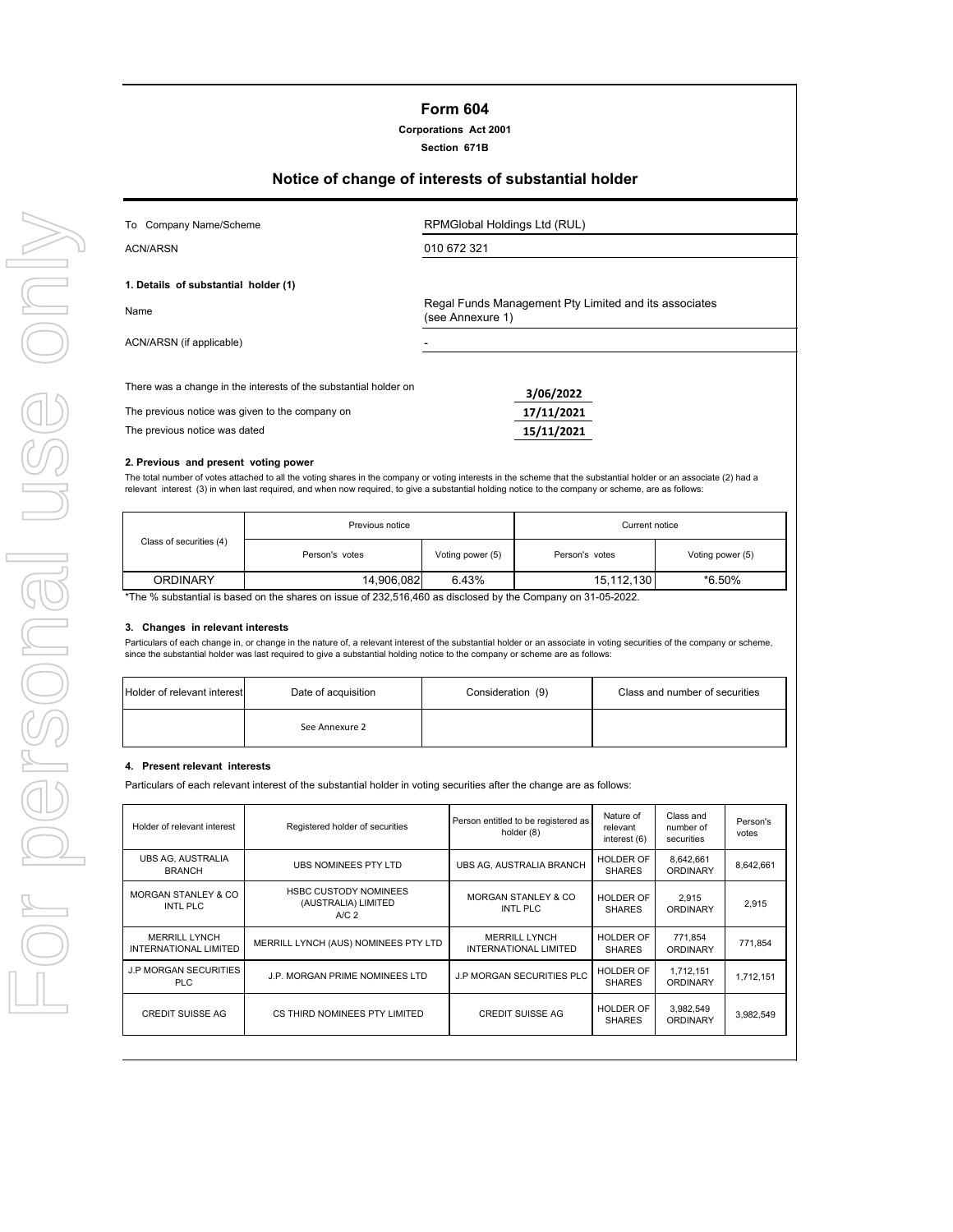# **Section 671B**

# **Notice of change of interests of substantial holder**

| To Company Name/Scheme                                                                                              | RPMGlobal Holdings Ltd (RUL)                                              |
|---------------------------------------------------------------------------------------------------------------------|---------------------------------------------------------------------------|
| <b>ACN/ARSN</b>                                                                                                     | 010 672 321                                                               |
| 1. Details of substantial holder (1)                                                                                |                                                                           |
| Name                                                                                                                | Regal Funds Management Pty Limited and its associates<br>(see Annexure 1) |
| ACN/ARSN (if applicable)                                                                                            |                                                                           |
| There was a change in the interests of the substantial holder on<br>The previous notice was given to the company on | 3/06/2022<br>17/11/2021                                                   |
| The previous notice was dated                                                                                       | 15/11/2021                                                                |
| A Boundary and consent to the consent                                                                               |                                                                           |

## **2. Previous and present voting power**

The total number of votes attached to all the voting shares in the company or voting interests in the scheme that the substantial holder or an associate (2) had a relevant interest (3) in when last required, and when now required, to give a substantial holding notice to the company or scheme, are as follows:

|                         | Previous notice | Current notice   |                |                  |
|-------------------------|-----------------|------------------|----------------|------------------|
| Class of securities (4) | Person's votes  | Voting power (5) | Person's votes | Voting power (5) |
| <b>ORDINARY</b>         | 14,906,082      | 6.43%            | 15,112,130     | *6.50%           |

\*The % substantial is based on the shares on issue of 232,516,460 as disclosed by the Company on 31-05-2022.

#### **3. Changes in relevant interests**

Particulars of each change in, or change in the nature of, a relevant interest of the substantial holder or an associate in voting securities of the company or scheme, since the substantial holder was last required to give a substantial holding notice to the company or scheme are as follows:

| <b>Holder of relevant interest</b> | Date of acquisition | Consideration (9) | Class and number of securities |
|------------------------------------|---------------------|-------------------|--------------------------------|
|                                    | See Annexure 2      |                   |                                |

#### **4. Present relevant interests**

Particulars of each relevant interest of the substantial holder in voting securities after the change are as follows:

| Holder of relevant interest                          | Registered holder of securities                                         | Person entitled to be registered as<br>holder (8) | Nature of<br>relevant<br>interest (6) | Class and<br>number of<br>securities | Person's<br>votes |
|------------------------------------------------------|-------------------------------------------------------------------------|---------------------------------------------------|---------------------------------------|--------------------------------------|-------------------|
| UBS AG, AUSTRALIA<br><b>BRANCH</b>                   | UBS NOMINEES PTY LTD                                                    | UBS AG. AUSTRALIA BRANCH                          | HOLDER OF<br><b>SHARES</b>            | 8,642,661<br><b>ORDINARY</b>         | 8,642,661         |
| <b>MORGAN STANLEY &amp; CO</b><br>INTL PLC           | <b>HSBC CUSTODY NOMINEES</b><br>(AUSTRALIA) LIMITED<br>A/C <sub>2</sub> | <b>MORGAN STANLEY &amp; CO</b><br>INTL PLC        | HOLDER OF<br><b>SHARES</b>            | 2.915<br><b>ORDINARY</b>             | 2.915             |
| <b>MERRILL LYNCH</b><br><b>INTERNATIONAL LIMITED</b> | MERRILL LYNCH (AUS) NOMINEES PTY LTD                                    | <b>MERRILL LYNCH</b><br>INTERNATIONAL LIMITED     | HOLDER OF<br><b>SHARES</b>            | 771,854<br><b>ORDINARY</b>           | 771.854           |
| <b>J.P MORGAN SECURITIES</b><br>PLC.                 | J.P. MORGAN PRIME NOMINEES LTD                                          | J.P MORGAN SECURITIES PLC                         | <b>HOLDER OF</b><br><b>SHARES</b>     | 1,712,151<br><b>ORDINARY</b>         | 1.712.151         |
| CREDIT SUISSE AG                                     | CS THIRD NOMINEES PTY LIMITED                                           | CREDIT SUISSE AG                                  | HOLDER OF<br><b>SHARES</b>            | 3,982,549<br><b>ORDINARY</b>         | 3,982,549         |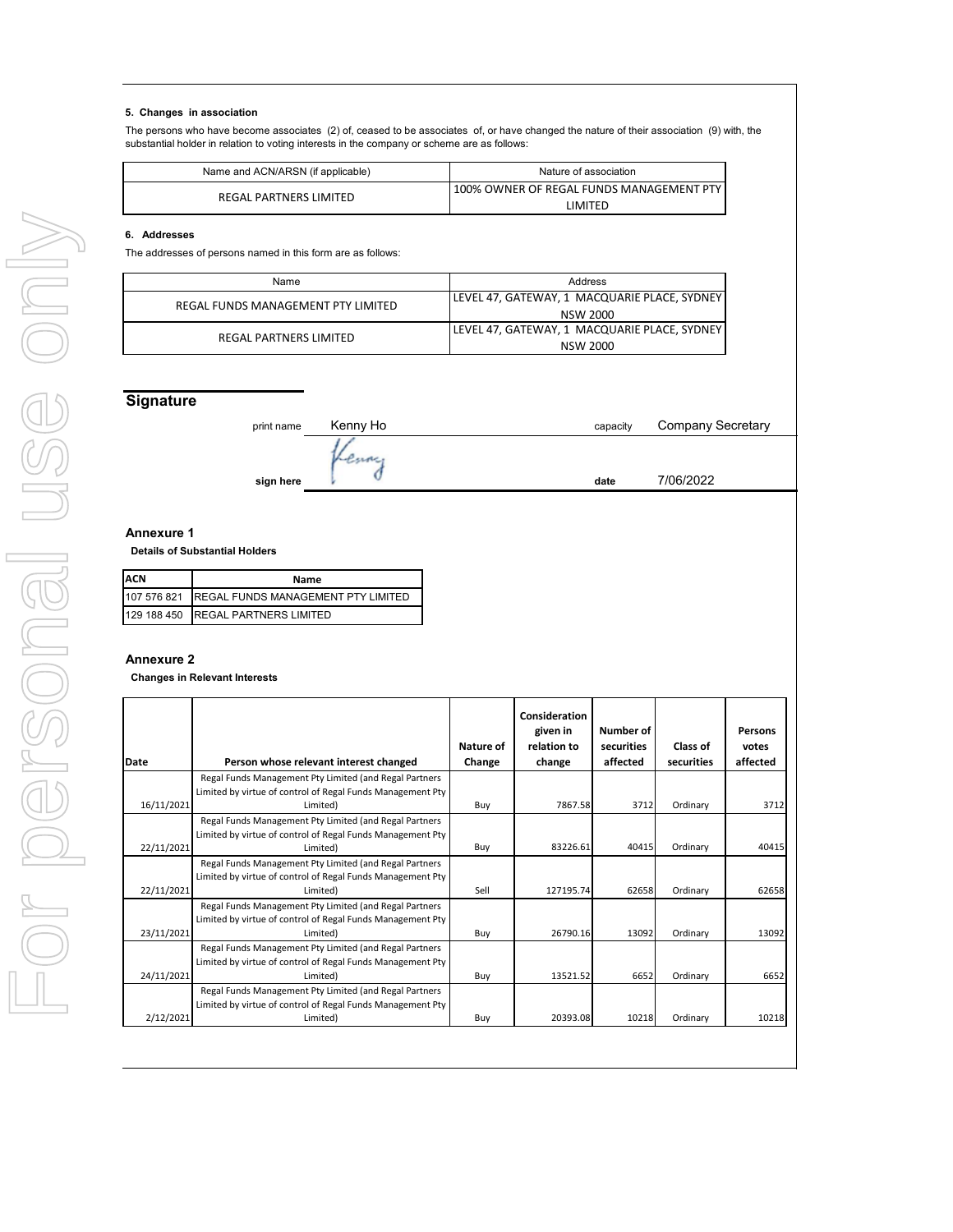### **5. Changes in association**

The persons who have become associates (2) of, ceased to be associates of, or have changed the nature of their association (9) with, the substantial holder in relation to voting interests in the company or scheme are as follows:

| Name and ACN/ARSN (if applicable) | Nature of association                    |
|-----------------------------------|------------------------------------------|
| REGAL PARTNERS LIMITED            | 100% OWNER OF REGAL FUNDS MANAGEMENT PTY |
|                                   | LIMITED                                  |

### **6. Addresses**

The addresses of persons named in this form are as follows:

| Name                               | Address                                       |
|------------------------------------|-----------------------------------------------|
| REGAL FUNDS MANAGEMENT PTY LIMITED | LEVEL 47, GATEWAY, 1 MACQUARIE PLACE, SYDNEY  |
|                                    | NSW 2000                                      |
| REGAL PARTNERS LIMITED             | LEVEL 47, GATEWAY, 1  MACQUARIE PLACE, SYDNEY |
|                                    | NSW 2000                                      |

## **Signature**

| print name | Kenny Ho | capacity | <b>Company Secretary</b> |
|------------|----------|----------|--------------------------|
|            |          |          |                          |
| sign here  |          | date     | 7/06/2022                |

#### **Annexure 1**

 **Details of Substantial Holders**

| ACN<br>Name |                                                |  |  |
|-------------|------------------------------------------------|--|--|
|             | 107 576 821 REGAL FUNDS MANAGEMENT PTY LIMITED |  |  |
|             | 129 188 450 REGAL PARTNERS LIMITED             |  |  |

## **Annexure 2**

 **Changes in Relevant Interests**

| Date       | Person whose relevant interest changed                                                                                           | Nature of<br>Change | Consideration<br>given in<br>relation to<br>change | Number of<br>securities<br>affected | Class of<br>securities | Persons<br>votes<br>affected |
|------------|----------------------------------------------------------------------------------------------------------------------------------|---------------------|----------------------------------------------------|-------------------------------------|------------------------|------------------------------|
|            | Regal Funds Management Pty Limited (and Regal Partners                                                                           |                     |                                                    |                                     |                        |                              |
|            | Limited by virtue of control of Regal Funds Management Pty                                                                       |                     |                                                    |                                     |                        |                              |
| 16/11/2021 | Limited)                                                                                                                         | Buy                 | 7867.58                                            | 3712                                | Ordinary               | 3712                         |
|            | Regal Funds Management Pty Limited (and Regal Partners<br>Limited by virtue of control of Regal Funds Management Pty             |                     |                                                    |                                     |                        |                              |
| 22/11/2021 | Limited)                                                                                                                         | Buy                 | 83226.61                                           | 40415                               | Ordinary               | 40415                        |
| 22/11/2021 | Regal Funds Management Pty Limited (and Regal Partners<br>Limited by virtue of control of Regal Funds Management Pty<br>Limited) | Sell                | 127195.74                                          | 62658                               | Ordinary               | 62658                        |
| 23/11/2021 | Regal Funds Management Pty Limited (and Regal Partners<br>Limited by virtue of control of Regal Funds Management Pty<br>Limited) | Buy                 | 26790.16                                           | 13092                               | Ordinary               | 13092                        |
| 24/11/2021 | Regal Funds Management Pty Limited (and Regal Partners<br>Limited by virtue of control of Regal Funds Management Pty<br>Limited) | Buy                 | 13521.52                                           | 6652                                | Ordinary               | 6652                         |
|            | Regal Funds Management Pty Limited (and Regal Partners<br>Limited by virtue of control of Regal Funds Management Pty             |                     |                                                    |                                     |                        |                              |
| 2/12/2021  | Limited)                                                                                                                         | Buy                 | 20393.08                                           | 10218                               | Ordinary               | 10218                        |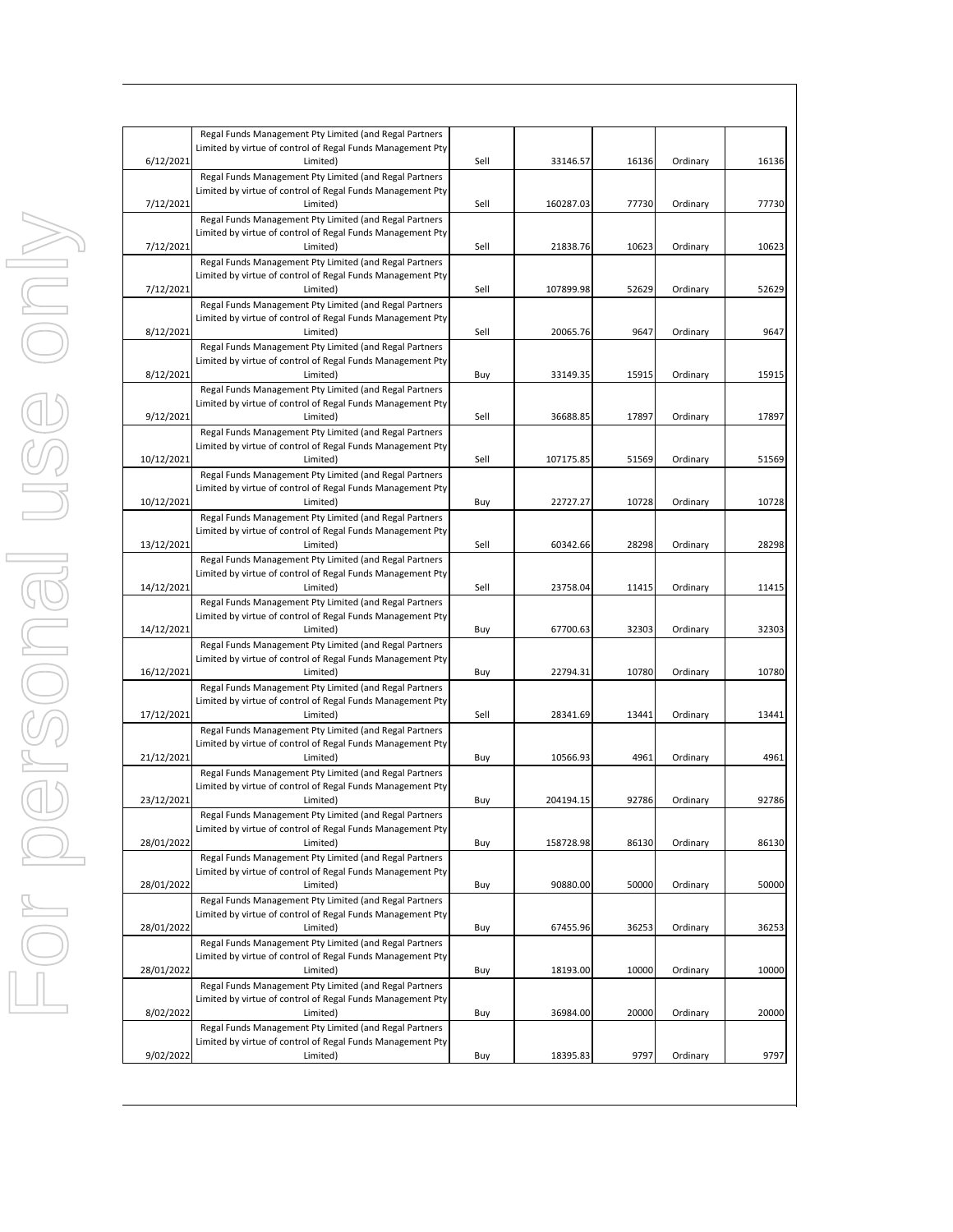| 6/12/2021  | Regal Funds Management Pty Limited (and Regal Partners<br>Limited by virtue of control of Regal Funds Management Pty<br>Limited) | Sell | 33146.57  | 16136 | Ordinary | 16136 |
|------------|----------------------------------------------------------------------------------------------------------------------------------|------|-----------|-------|----------|-------|
|            | Regal Funds Management Pty Limited (and Regal Partners<br>Limited by virtue of control of Regal Funds Management Pty             |      |           |       |          |       |
| 7/12/2021  | Limited)                                                                                                                         | Sell | 160287.03 | 77730 | Ordinary | 77730 |
|            | Regal Funds Management Pty Limited (and Regal Partners<br>Limited by virtue of control of Regal Funds Management Pty             |      |           |       |          |       |
| 7/12/2021  | Limited)<br>Regal Funds Management Pty Limited (and Regal Partners                                                               | Sell | 21838.76  | 10623 | Ordinary | 10623 |
| 7/12/2021  | Limited by virtue of control of Regal Funds Management Pty<br>Limited)                                                           | Sell | 107899.98 | 52629 | Ordinary | 52629 |
|            | Regal Funds Management Pty Limited (and Regal Partners<br>Limited by virtue of control of Regal Funds Management Pty             |      |           |       |          |       |
| 8/12/2021  | Limited)<br>Regal Funds Management Pty Limited (and Regal Partners                                                               | Sell | 20065.76  | 9647  | Ordinary | 9647  |
| 8/12/2021  | Limited by virtue of control of Regal Funds Management Pty<br>Limited)                                                           | Buy  | 33149.35  | 15915 | Ordinary | 15915 |
|            | Regal Funds Management Pty Limited (and Regal Partners                                                                           |      |           |       |          |       |
| 9/12/2021  | Limited by virtue of control of Regal Funds Management Pty<br>Limited)                                                           | Sell | 36688.85  | 17897 | Ordinary | 17897 |
|            | Regal Funds Management Pty Limited (and Regal Partners<br>Limited by virtue of control of Regal Funds Management Pty             |      |           |       |          |       |
| 10/12/2021 | Limited)<br>Regal Funds Management Pty Limited (and Regal Partners                                                               | Sell | 107175.85 | 51569 | Ordinary | 51569 |
| 10/12/2021 | Limited by virtue of control of Regal Funds Management Pty<br>Limited)                                                           | Buy  | 22727.27  | 10728 | Ordinary | 10728 |
|            | Regal Funds Management Pty Limited (and Regal Partners<br>Limited by virtue of control of Regal Funds Management Pty             |      |           |       |          |       |
| 13/12/2021 | Limited)<br>Regal Funds Management Pty Limited (and Regal Partners                                                               | Sell | 60342.66  | 28298 | Ordinary | 28298 |
| 14/12/2021 | Limited by virtue of control of Regal Funds Management Pty<br>Limited)                                                           | Sell | 23758.04  | 11415 | Ordinary | 11415 |
| 14/12/2021 | Regal Funds Management Pty Limited (and Regal Partners<br>Limited by virtue of control of Regal Funds Management Pty<br>Limited) | Buy  | 67700.63  | 32303 | Ordinary | 32303 |
| 16/12/2021 | Regal Funds Management Pty Limited (and Regal Partners<br>Limited by virtue of control of Regal Funds Management Pty<br>Limited) | Buy  | 22794.31  | 10780 | Ordinary | 10780 |
| 17/12/2021 | Regal Funds Management Pty Limited (and Regal Partners<br>Limited by virtue of control of Regal Funds Management Pty<br>Limited) | Sell | 28341.69  | 13441 | Ordinary | 13441 |
| 21/12/2021 | Regal Funds Management Pty Limited (and Regal Partners<br>Limited by virtue of control of Regal Funds Management Pty<br>Limited) | Buy  | 10566.93  | 4961  | Ordinary | 4961  |
|            | Regal Funds Management Pty Limited (and Regal Partners                                                                           |      |           |       |          |       |
| 23/12/2021 | Limited by virtue of control of Regal Funds Management Pty<br>Limited)                                                           | Buy  | 204194.15 | 92786 | Ordinary | 92786 |
|            | Regal Funds Management Pty Limited (and Regal Partners<br>Limited by virtue of control of Regal Funds Management Pty             |      |           |       |          |       |
| 28/01/2022 | Limited)<br>Regal Funds Management Pty Limited (and Regal Partners                                                               | Buy  | 158728.98 | 86130 | Ordinary | 86130 |
| 28/01/2022 | Limited by virtue of control of Regal Funds Management Pty<br>Limited)                                                           | Buy  | 90880.00  | 50000 | Ordinary | 50000 |
|            | Regal Funds Management Pty Limited (and Regal Partners<br>Limited by virtue of control of Regal Funds Management Pty             |      |           |       |          |       |
| 28/01/2022 | Limited)<br>Regal Funds Management Pty Limited (and Regal Partners                                                               | Buy  | 67455.96  | 36253 | Ordinary | 36253 |
|            | Limited by virtue of control of Regal Funds Management Pty<br>Limited)                                                           |      | 18193.00  | 10000 | Ordinary | 10000 |
| 28/01/2022 | Regal Funds Management Pty Limited (and Regal Partners                                                                           | Buy  |           |       |          |       |
| 8/02/2022  | Limited by virtue of control of Regal Funds Management Pty<br>Limited)                                                           | Buy  | 36984.00  | 20000 | Ordinary | 20000 |
|            | Regal Funds Management Pty Limited (and Regal Partners<br>Limited by virtue of control of Regal Funds Management Pty             |      |           |       |          |       |
| 9/02/2022  | Limited)                                                                                                                         | Buy  | 18395.83  | 9797  | Ordinary | 9797  |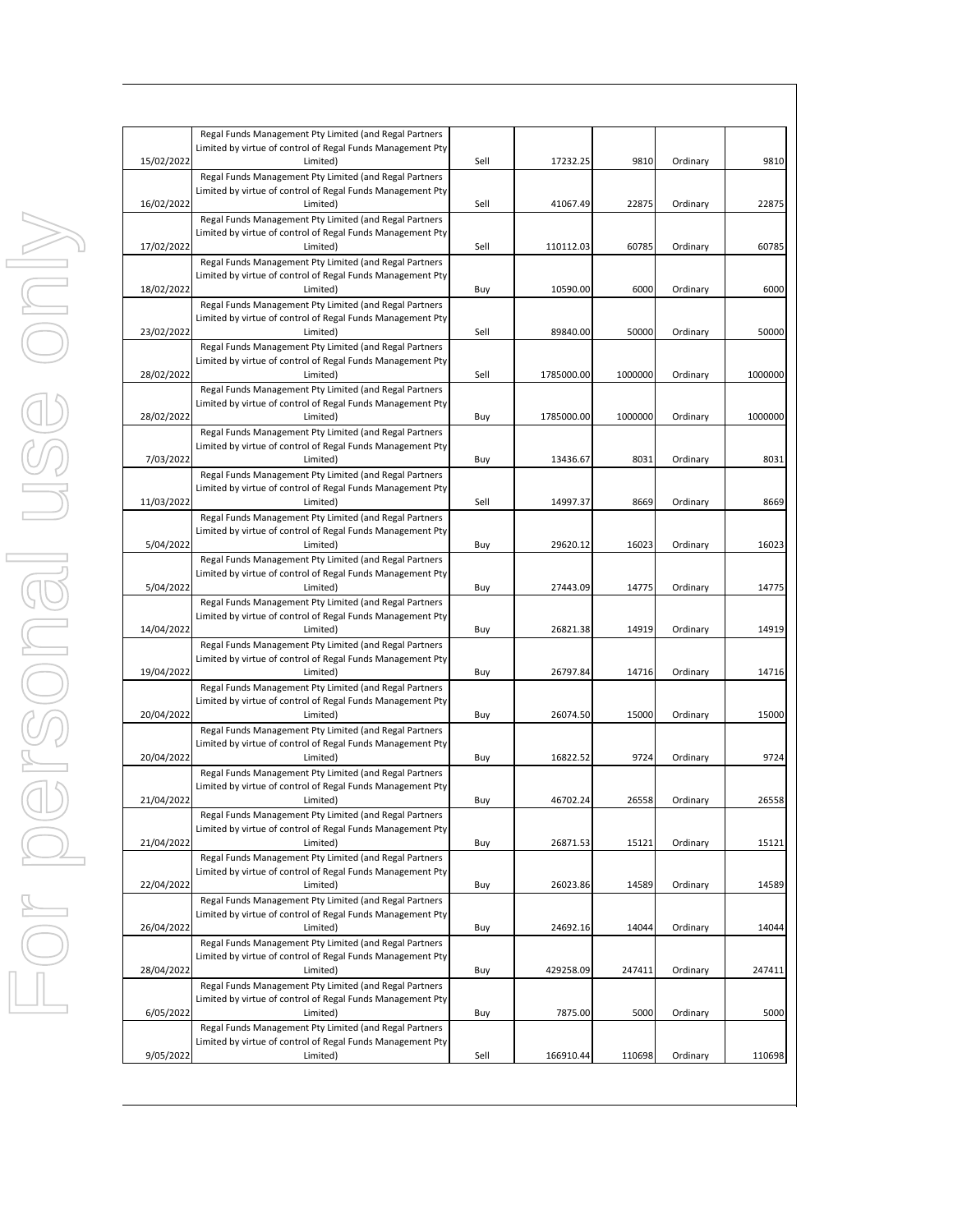|            | Regal Funds Management Pty Limited (and Regal Partners<br>Limited by virtue of control of Regal Funds Management Pty |      |            |         |          |         |
|------------|----------------------------------------------------------------------------------------------------------------------|------|------------|---------|----------|---------|
| 15/02/2022 | Limited)                                                                                                             | Sell | 17232.25   | 9810    | Ordinary | 9810    |
|            | Regal Funds Management Pty Limited (and Regal Partners                                                               |      |            |         |          |         |
|            | Limited by virtue of control of Regal Funds Management Pty                                                           |      |            |         |          |         |
| 16/02/2022 | Limited)                                                                                                             | Sell | 41067.49   | 22875   | Ordinary | 22875   |
|            | Regal Funds Management Pty Limited (and Regal Partners                                                               |      |            |         |          |         |
|            | Limited by virtue of control of Regal Funds Management Pty<br>Limited)                                               | Sell |            |         |          |         |
| 17/02/2022 | Regal Funds Management Pty Limited (and Regal Partners                                                               |      | 110112.03  | 60785   | Ordinary | 60785   |
|            | Limited by virtue of control of Regal Funds Management Pty                                                           |      |            |         |          |         |
| 18/02/2022 | Limited)                                                                                                             | Buy  | 10590.00   | 6000    | Ordinary | 6000    |
|            | Regal Funds Management Pty Limited (and Regal Partners                                                               |      |            |         |          |         |
|            | Limited by virtue of control of Regal Funds Management Pty                                                           |      |            |         |          |         |
| 23/02/2022 | Limited)                                                                                                             | Sell | 89840.00   | 50000   | Ordinary | 50000   |
|            | Regal Funds Management Pty Limited (and Regal Partners<br>Limited by virtue of control of Regal Funds Management Pty |      |            |         |          |         |
| 28/02/2022 | Limited)                                                                                                             | Sell | 1785000.00 | 1000000 | Ordinary | 1000000 |
|            | Regal Funds Management Pty Limited (and Regal Partners                                                               |      |            |         |          |         |
|            | Limited by virtue of control of Regal Funds Management Pty                                                           |      |            |         |          |         |
| 28/02/2022 | Limited)                                                                                                             | Buy  | 1785000.00 | 1000000 | Ordinary | 1000000 |
|            | Regal Funds Management Pty Limited (and Regal Partners                                                               |      |            |         |          |         |
|            | Limited by virtue of control of Regal Funds Management Pty                                                           |      |            |         |          | 8031    |
| 7/03/2022  | Limited)<br>Regal Funds Management Pty Limited (and Regal Partners                                                   | Buy  | 13436.67   | 8031    | Ordinary |         |
|            | Limited by virtue of control of Regal Funds Management Pty                                                           |      |            |         |          |         |
| 11/03/2022 | Limited)                                                                                                             | Sell | 14997.37   | 8669    | Ordinary | 8669    |
|            | Regal Funds Management Pty Limited (and Regal Partners                                                               |      |            |         |          |         |
|            | Limited by virtue of control of Regal Funds Management Pty                                                           |      |            |         |          |         |
| 5/04/2022  | Limited)                                                                                                             | Buy  | 29620.12   | 16023   | Ordinary | 16023   |
|            | Regal Funds Management Pty Limited (and Regal Partners                                                               |      |            |         |          |         |
| 5/04/2022  | Limited by virtue of control of Regal Funds Management Pty<br>Limited)                                               | Buy  | 27443.09   | 14775   | Ordinary | 14775   |
|            | Regal Funds Management Pty Limited (and Regal Partners                                                               |      |            |         |          |         |
|            | Limited by virtue of control of Regal Funds Management Pty                                                           |      |            |         |          |         |
| 14/04/2022 | Limited)                                                                                                             | Buy  | 26821.38   | 14919   | Ordinary | 14919   |
|            | Regal Funds Management Pty Limited (and Regal Partners                                                               |      |            |         |          |         |
|            | Limited by virtue of control of Regal Funds Management Pty                                                           |      |            |         |          |         |
| 19/04/2022 | Limited)                                                                                                             | Buy  | 26797.84   | 14716   | Ordinary | 14716   |
|            | Regal Funds Management Pty Limited (and Regal Partners<br>Limited by virtue of control of Regal Funds Management Pty |      |            |         |          |         |
| 20/04/2022 | Limited)                                                                                                             | Buy  | 26074.50   | 15000   | Ordinary | 15000   |
|            | Regal Funds Management Pty Limited (and Regal Partners                                                               |      |            |         |          |         |
|            | Limited by virtue of control of Regal Funds Management Pty                                                           |      |            |         |          |         |
| 20/04/2022 | Limited)                                                                                                             | Buy  | 16822.52   | 9724    | Ordinary | 9724    |
|            | Regal Funds Management Pty Limited (and Regal Partners                                                               |      |            |         |          |         |
| 21/04/2022 | Limited by virtue of control of Regal Funds Management Pty                                                           |      |            |         |          |         |
|            | Limited)<br>Regal Funds Management Pty Limited (and Regal Partners                                                   | Buy  | 46702.24   | 26558   | Ordinary | 26558   |
|            | Limited by virtue of control of Regal Funds Management Pty                                                           |      |            |         |          |         |
| 21/04/2022 | Limited)                                                                                                             | Buy  | 26871.53   | 15121   | Ordinary | 15121   |
|            | Regal Funds Management Pty Limited (and Regal Partners                                                               |      |            |         |          |         |
|            | Limited by virtue of control of Regal Funds Management Pty                                                           |      |            |         |          |         |
| 22/04/2022 | Limited)                                                                                                             | Buy  | 26023.86   | 14589   | Ordinary | 14589   |
|            | Regal Funds Management Pty Limited (and Regal Partners                                                               |      |            |         |          |         |
| 26/04/2022 | Limited by virtue of control of Regal Funds Management Pty<br>Limited)                                               | Buy  | 24692.16   | 14044   | Ordinary | 14044   |
|            | Regal Funds Management Pty Limited (and Regal Partners                                                               |      |            |         |          |         |
|            | Limited by virtue of control of Regal Funds Management Pty                                                           |      |            |         |          |         |
| 28/04/2022 | Limited)                                                                                                             | Buy  | 429258.09  | 247411  | Ordinary | 247411  |
|            | Regal Funds Management Pty Limited (and Regal Partners                                                               |      |            |         |          |         |
|            | Limited by virtue of control of Regal Funds Management Pty                                                           |      |            |         |          |         |
| 6/05/2022  | Limited)                                                                                                             | Buy  | 7875.00    | 5000    | Ordinary | 5000    |
|            | Regal Funds Management Pty Limited (and Regal Partners                                                               |      |            |         |          |         |
| 9/05/2022  | Limited by virtue of control of Regal Funds Management Pty<br>Limited)                                               | Sell | 166910.44  | 110698  | Ordinary | 110698  |
|            |                                                                                                                      |      |            |         |          |         |